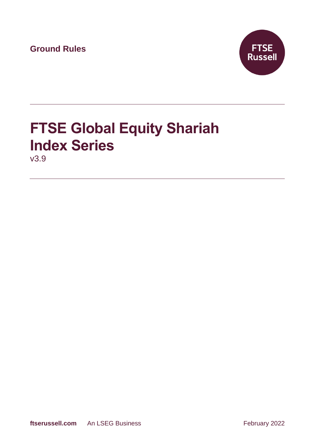**Ground Rules**



# **FTSE Global Equity Shariah Index Series**

v3.9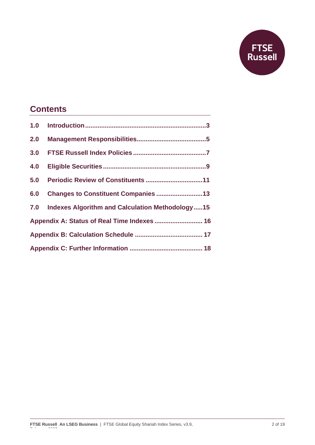

# **Contents**

| 2.0                                         |                                                     |
|---------------------------------------------|-----------------------------------------------------|
| 3.0                                         |                                                     |
| 4.0                                         |                                                     |
| 5.0                                         |                                                     |
| 6.0                                         | Changes to Constituent Companies 13                 |
|                                             | 7.0 Indexes Algorithm and Calculation Methodology15 |
| Appendix A: Status of Real Time Indexes  16 |                                                     |
|                                             |                                                     |
|                                             |                                                     |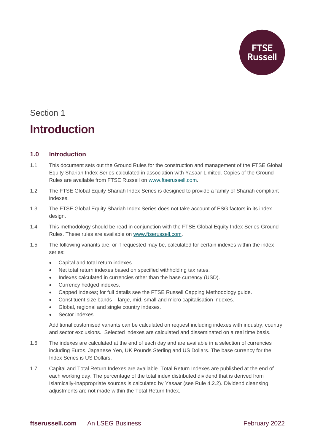

# **Introduction**

# **1.0 Introduction**

- 1.1 This document sets out the Ground Rules for the construction and management of the FTSE Global Equity Shariah Index Series calculated in association with Yasaar Limited. Copies of the Ground Rules are available from FTSE Russell on [www.ftserussell.com.](http://www.ftserussell.com/)
- 1.2 The FTSE Global Equity Shariah Index Series is designed to provide a family of Shariah compliant indexes.
- 1.3 The FTSE Global Equity Shariah Index Series does not take account of ESG factors in its index design.
- 1.4 This methodology should be read in conjunction with the FTSE Global Equity Index Series Ground Rules. These rules are available on [www.ftserussell.com.](http://www.ftserussell.com/)
- 1.5 The following variants are, or if requested may be, calculated for certain indexes within the index series:
	- Capital and total return indexes.
	- Net total return indexes based on specified withholding tax rates.
	- Indexes calculated in currencies other than the base currency (USD).
	- Currency hedged indexes.
	- Capped indexes; for full details see the FTSE Russell Capping Methodology guide.
	- Constituent size bands large, mid, small and micro capitalisation indexes.
	- Global, regional and single country indexes.
	- Sector indexes.

Additional customised variants can be calculated on request including indexes with industry, country and sector exclusions. Selected indexes are calculated and disseminated on a real time basis.

- 1.6 The indexes are calculated at the end of each day and are available in a selection of currencies including Euros, Japanese Yen, UK Pounds Sterling and US Dollars. The base currency for the Index Series is US Dollars.
- 1.7 Capital and Total Return Indexes are available. Total Return Indexes are published at the end of each working day. The percentage of the total index distributed dividend that is derived from Islamically-inappropriate sources is calculated by Yasaar (see Rule 4.2.2). Dividend cleansing adjustments are not made within the Total Return Index.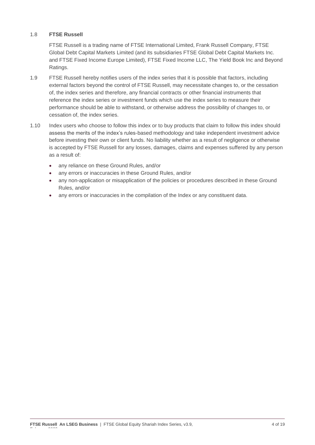## 1.8 **FTSE Russell**

FTSE Russell is a trading name of FTSE International Limited, Frank Russell Company, FTSE Global Debt Capital Markets Limited (and its subsidiaries FTSE Global Debt Capital Markets Inc. and FTSE Fixed Income Europe Limited), FTSE Fixed Income LLC, The Yield Book Inc and Beyond Ratings.

- 1.9 FTSE Russell hereby notifies users of the index series that it is possible that factors, including external factors beyond the control of FTSE Russell, may necessitate changes to, or the cessation of, the index series and therefore, any financial contracts or other financial instruments that reference the index series or investment funds which use the index series to measure their performance should be able to withstand, or otherwise address the possibility of changes to, or cessation of, the index series.
- 1.10 Index users who choose to follow this index or to buy products that claim to follow this index should assess the merits of the index's rules-based methodology and take independent investment advice before investing their own or client funds. No liability whether as a result of negligence or otherwise is accepted by FTSE Russell for any losses, damages, claims and expenses suffered by any person as a result of:
	- any reliance on these Ground Rules, and/or
	- any errors or inaccuracies in these Ground Rules, and/or
	- any non-application or misapplication of the policies or procedures described in these Ground Rules, and/or
	- any errors or inaccuracies in the compilation of the Index or any constituent data.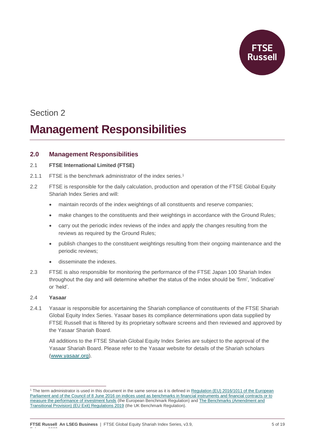

# **Management Responsibilities**

# **2.0 Management Responsibilities**

### 2.1 **FTSE International Limited (FTSE)**

- 2.1.1 FTSE is the benchmark administrator of the index series. 1
- 2.2 FTSE is responsible for the daily calculation, production and operation of the FTSE Global Equity Shariah Index Series and will:
	- maintain records of the index weightings of all constituents and reserve companies;
	- make changes to the constituents and their weightings in accordance with the Ground Rules;
	- carry out the periodic index reviews of the index and apply the changes resulting from the reviews as required by the Ground Rules;
	- publish changes to the constituent weightings resulting from their ongoing maintenance and the periodic reviews;
	- disseminate the indexes.
- 2.3 FTSE is also responsible for monitoring the performance of the FTSE Japan 100 Shariah Index throughout the day and will determine whether the status of the index should be 'firm', 'indicative' or 'held'.

### 2.4 **Yasaar**

2.4.1 Yasaar is responsible for ascertaining the Shariah compliance of constituents of the FTSE Shariah Global Equity Index Series. Yasaar bases its compliance determinations upon data supplied by FTSE Russell that is filtered by its proprietary software screens and then reviewed and approved by the Yasaar Shariah Board.

All additions to the FTSE Shariah Global Equity Index Series are subject to the approval of the Yasaar Shariah Board. Please refer to the Yasaar website for details of the Shariah scholars [\(www.yasaar.org\)](http://www.yasaar.org/).

<sup>&</sup>lt;sup>1</sup> The term administrator is used in this document in the same sense as it is defined in Regulation (EU) 2016/1011 of the European [Parliament and of the Council of 8 June 2016 on indices used as benchmarks in financial instruments and financial contracts or to](https://eur-lex.europa.eu/legal-content/EN/TXT/PDF/?uri=CELEX:32016R1011&from=EN)  [measure the performance of investment funds](https://eur-lex.europa.eu/legal-content/EN/TXT/PDF/?uri=CELEX:32016R1011&from=EN) (the European Benchmark Regulation) an[d The Benchmarks \(Amendment and](https://www.legislation.gov.uk/uksi/2019/657/made)  [Transitional Provision\) \(EU Exit\) Regulations 2019](https://www.legislation.gov.uk/uksi/2019/657/made) (the UK Benchmark Regulation).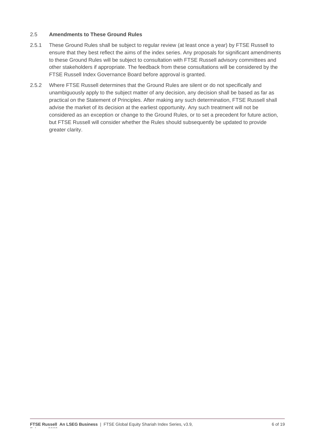### 2.5 **Amendments to These Ground Rules**

- 2.5.1 These Ground Rules shall be subject to regular review (at least once a year) by FTSE Russell to ensure that they best reflect the aims of the index series. Any proposals for significant amendments to these Ground Rules will be subject to consultation with FTSE Russell advisory committees and other stakeholders if appropriate. The feedback from these consultations will be considered by the FTSE Russell Index Governance Board before approval is granted.
- 2.5.2 Where FTSE Russell determines that the Ground Rules are silent or do not specifically and unambiguously apply to the subject matter of any decision, any decision shall be based as far as practical on the Statement of Principles. After making any such determination, FTSE Russell shall advise the market of its decision at the earliest opportunity. Any such treatment will not be considered as an exception or change to the Ground Rules, or to set a precedent for future action, but FTSE Russell will consider whether the Rules should subsequently be updated to provide greater clarity.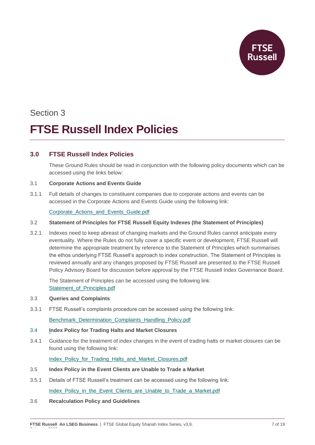# Section 3 **FTSE Russell Index Policies**

# **3.0 FTSE Russell Index Policies**

These Ground Rules should be read in conjunction with the following policy documents which can be accessed using the links below:

### 3.1 **Corporate Actions and Events Guide**

3.1.1 Full details of changes to constituent companies due to corporate actions and events can be accessed in the Corporate Actions and Events Guide using the following link:

### [Corporate\\_Actions\\_and\\_Events\\_Guide.pdf](https://research.ftserussell.com/products/downloads/Corporate_Actions_and_Events_Guide.pdf)

### 3.2 **Statement of Principles for FTSE Russell Equity Indexes (the Statement of Principles)**

3.2.1 Indexes need to keep abreast of changing markets and the Ground Rules cannot anticipate every eventuality. Where the Rules do not fully cover a specific event or development, FTSE Russell will determine the appropriate treatment by reference to the Statement of Principles which summarises the ethos underlying FTSE Russell's approach to index construction. The Statement of Principles is reviewed annually and any changes proposed by FTSE Russell are presented to the FTSE Russell Policy Advisory Board for discussion before approval by the FTSE Russell Index Governance Board.

The Statement of Principles can be accessed using the following link: Statement of Principles.pdf

### 3.3 **Queries and Complaints**

3.3.1 FTSE Russell's complaints procedure can be accessed using the following link:

[Benchmark\\_Determination\\_Complaints\\_Handling\\_Policy.pdf](https://research.ftserussell.com/products/downloads/FTSE_Russell_Benchmark_Determination_Complaints-Handling_Policy.pdf?_ga=2.199991981.2089437025.1593423837-184674261.1591013590)

### 3.4 **Index Policy for Trading Halts and Market Closures**

3.4.1 Guidance for the treatment of index changes in the event of trading halts or market closures can be found using the following link:

[Index\\_Policy\\_for\\_Trading\\_Halts\\_and\\_Market\\_Closures.pdf](https://research.ftserussell.com/products/downloads/FTSE_Russell_Index_Policy_for_Trading_Halts_and_Market_Closures.pdf)

- 3.5 **Index Policy in the Event Clients are Unable to Trade a Market**
- 3.5.1 Details of FTSE Russell's treatment can be accessed using the following link:

[Index\\_Policy\\_in\\_the\\_Event\\_Clients\\_are\\_Unable\\_to\\_Trade\\_a\\_Market.pdf](https://research.ftserussell.com/products/downloads/FTSE_Russell_Index_Policy_in_the_Event_Clients_are_Unable_to_Trade_a_Market.pdf)

### 3.6 **Recalculation Policy and Guidelines**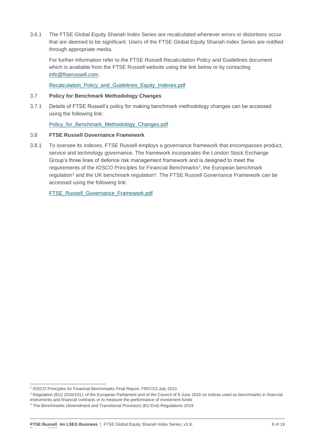3.6.1 The FTSE Global Equity Shariah Index Series are recalculated whenever errors or distortions occur that are deemed to be significant. Users of the FTSE Global Equity Shariah Index Series are notified through appropriate media.

For further information refer to the FTSE Russell Recalculation Policy and Guidelines document which is available from the FTSE Russell website using the link below or by contacting [info@ftserussell.com.](mailto:info@ftserussell.com)

[Recalculation\\_Policy\\_and\\_Guidelines\\_Equity\\_Indexes.pdf](https://research.ftserussell.com/products/downloads/Equity_Index_Recalculation_Policy_and_Guidelines.pdf)

### 3.7 **Policy for Benchmark Methodology Changes**

3.7.1 Details of FTSE Russell's policy for making benchmark methodology changes can be accessed using the following link:

Policy for Benchmark Methodology Changes.pdf

#### 3.8 **FTSE Russell Governance Framework**

3.8.1 To oversee its indexes, FTSE Russell employs a governance framework that encompasses product, service and technology governance. The framework incorporates the London Stock Exchange Group's three lines of defence risk management framework and is designed to meet the requirements of the IOSCO Principles for Financial Benchmarks<sup>2</sup>, the European benchmark regulation<sup>3</sup> and the UK benchmark regulation<sup>4</sup>. The FTSE Russell Governance Framework can be accessed using the following link:

[FTSE\\_Russell\\_Governance\\_Framework.pdf](https://research.ftserussell.com/products/downloads/FTSE_Russell_Governance_Framework.pdf)

<sup>2</sup> IOSCO Principles for Financial Benchmarks Final Report, FR07/13 July 2013

<sup>&</sup>lt;sup>3</sup> Regulation (EU) 2016/1011 of the European Parliament and of the Council of 8 June 2016 on indices used as benchmarks in financial

instruments and financial contracts or to measure the performance of investment funds

<sup>4</sup> The Benchmarks (Amendment and Transitional Provision) (EU Exit) Regulations 2019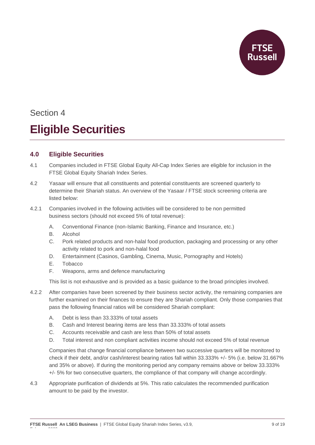

# Section 4 **Eligible Securities**

# **4.0 Eligible Securities**

- 4.1 Companies included in FTSE Global Equity All-Cap Index Series are eligible for inclusion in the FTSE Global Equity Shariah Index Series.
- 4.2 Yasaar will ensure that all constituents and potential constituents are screened quarterly to determine their Shariah status. An overview of the Yasaar / FTSE stock screening criteria are listed below:
- 4.2.1 Companies involved in the following activities will be considered to be non permitted business sectors (should not exceed 5% of total revenue):
	- A. Conventional Finance (non-Islamic Banking, Finance and Insurance, etc.)
	- B. Alcohol
	- C. Pork related products and non-halal food production, packaging and processing or any other activity related to pork and non-halal food
	- D. Entertainment (Casinos, Gambling, Cinema, Music, Pornography and Hotels)
	- E. Tobacco

February 2022

F. Weapons, arms and defence manufacturing

This list is not exhaustive and is provided as a basic guidance to the broad principles involved.

- 4.2.2 After companies have been screened by their business sector activity, the remaining companies are further examined on their finances to ensure they are Shariah compliant. Only those companies that pass the following financial ratios will be considered Shariah compliant:
	- A. Debt is less than 33.333% of total assets
	- B. Cash and Interest bearing items are less than 33.333% of total assets
	- C. Accounts receivable and cash are less than 50% of total assets
	- D. Total interest and non compliant activities income should not exceed 5% of total revenue

Companies that change financial compliance between two successive quarters will be monitored to check if their debt, and/or cash/interest bearing ratios fall within 33.333% +/- 5% (i.e. below 31.667% and 35% or above). If during the monitoring period any company remains above or below 33.333% +/- 5% for two consecutive quarters, the compliance of that company will change accordingly.

4.3 Appropriate purification of dividends at 5%. This ratio calculates the recommended purification amount to be paid by the investor.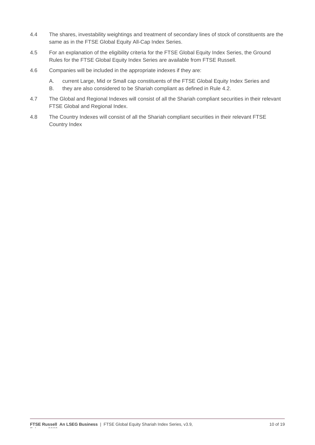- 4.4 The shares, investability weightings and treatment of secondary lines of stock of constituents are the same as in the FTSE Global Equity All-Cap Index Series.
- 4.5 For an explanation of the eligibility criteria for the FTSE Global Equity Index Series, the Ground Rules for the FTSE Global Equity Index Series are available from FTSE Russell.
- 4.6 Companies will be included in the appropriate indexes if they are:
	- A. current Large, Mid or Small cap constituents of the FTSE Global Equity Index Series and
	- B. they are also considered to be Shariah compliant as defined in Rule 4.2.
- 4.7 The Global and Regional Indexes will consist of all the Shariah compliant securities in their relevant FTSE Global and Regional Index.
- 4.8 The Country Indexes will consist of all the Shariah compliant securities in their relevant FTSE Country Index

February 2022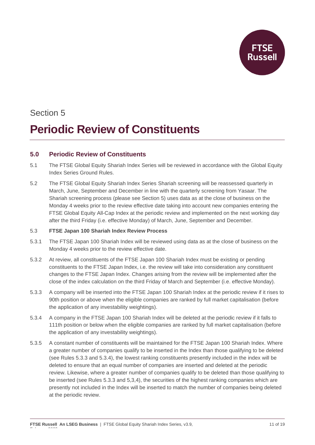

# Section 5 **Periodic Review of Constituents**

# **5.0 Periodic Review of Constituents**

- 5.1 The FTSE Global Equity Shariah Index Series will be reviewed in accordance with the Global Equity Index Series Ground Rules.
- 5.2 The FTSE Global Equity Shariah Index Series Shariah screening will be reassessed quarterly in March, June, September and December in line with the quarterly screening from Yasaar. The Shariah screening process (please see Section 5) uses data as at the close of business on the Monday 4 weeks prior to the review effective date taking into account new companies entering the FTSE Global Equity All-Cap Index at the periodic review and implemented on the next working day after the third Friday (i.e. effective Monday) of March, June, September and December.

## 5.3 **FTSE Japan 100 Shariah Index Review Process**

- 5.3.1 The FTSE Japan 100 Shariah Index will be reviewed using data as at the close of business on the Monday 4 weeks prior to the review effective date.
- 5.3.2 At review, all constituents of the FTSE Japan 100 Shariah Index must be existing or pending constituents to the FTSE Japan Index, i.e. the review will take into consideration any constituent changes to the FTSE Japan Index. Changes arising from the review will be implemented after the close of the index calculation on the third Friday of March and September (i.e. effective Monday).
- 5.3.3 A company will be inserted into the FTSE Japan 100 Shariah Index at the periodic review if it rises to 90th position or above when the eligible companies are ranked by full market capitalisation (before the application of any investability weightings).
- 5.3.4 A company in the FTSE Japan 100 Shariah Index will be deleted at the periodic review if it falls to 111th position or below when the eligible companies are ranked by full market capitalisation (before the application of any investability weightings).
- 5.3.5 A constant number of constituents will be maintained for the FTSE Japan 100 Shariah Index. Where a greater number of companies qualify to be inserted in the Index than those qualifying to be deleted (see Rules 5.3.3 and 5.3.4), the lowest ranking constituents presently included in the index will be deleted to ensure that an equal number of companies are inserted and deleted at the periodic review. Likewise, where a greater number of companies qualify to be deleted than those qualifying to be inserted (see Rules 5.3.3 and 5,3,4), the securities of the highest ranking companies which are presently not included in the Index will be inserted to match the number of companies being deleted at the periodic review.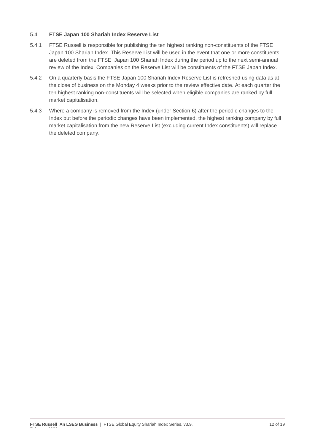## 5.4 **FTSE Japan 100 Shariah Index Reserve List**

- 5.4.1 FTSE Russell is responsible for publishing the ten highest ranking non-constituents of the FTSE Japan 100 Shariah Index. This Reserve List will be used in the event that one or more constituents are deleted from the FTSE Japan 100 Shariah Index during the period up to the next semi-annual review of the Index. Companies on the Reserve List will be constituents of the FTSE Japan Index.
- 5.4.2 On a quarterly basis the FTSE Japan 100 Shariah Index Reserve List is refreshed using data as at the close of business on the Monday 4 weeks prior to the review effective date. At each quarter the ten highest ranking non-constituents will be selected when eligible companies are ranked by full market capitalisation.
- 5.4.3 Where a company is removed from the Index (under Section 6) after the periodic changes to the Index but before the periodic changes have been implemented, the highest ranking company by full market capitalisation from the new Reserve List (excluding current Index constituents) will replace the deleted company.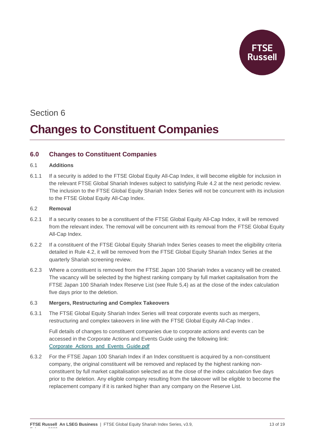

# **Changes to Constituent Companies**

# **6.0 Changes to Constituent Companies**

## 6.1 **Additions**

6.1.1 If a security is added to the FTSE Global Equity All-Cap Index, it will become eligible for inclusion in the relevant FTSE Global Shariah Indexes subject to satisfying Rule 4.2 at the next periodic review. The inclusion to the FTSE Global Equity Shariah Index Series will not be concurrent with its inclusion to the FTSE Global Equity All-Cap Index.

### 6.2 **Removal**

February 2022

- 6.2.1 If a security ceases to be a constituent of the FTSE Global Equity All-Cap Index, it will be removed from the relevant index. The removal will be concurrent with its removal from the FTSE Global Equity All-Cap Index.
- 6.2.2 If a constituent of the FTSE Global Equity Shariah Index Series ceases to meet the eligibility criteria detailed in Rule 4.2, it will be removed from the FTSE Global Equity Shariah Index Series at the quarterly Shariah screening review.
- 6.2.3 Where a constituent is removed from the FTSE Japan 100 Shariah Index a vacancy will be created. The vacancy will be selected by the highest ranking company by full market capitalisation from the FTSE Japan 100 Shariah Index Reserve List (see Rule 5,4) as at the close of the index calculation five days prior to the deletion.

## 6.3 **Mergers, Restructuring and Complex Takeovers**

6.3.1 The FTSE Global Equity Shariah Index Series will treat corporate events such as mergers, restructuring and complex takeovers in line with the FTSE Global Equity All-Cap Index .

Full details of changes to constituent companies due to corporate actions and events can be accessed in the Corporate Actions and Events Guide using the following link: [Corporate\\_Actions\\_and\\_Events\\_Guide.pdf](https://research.ftserussell.com/products/downloads/Corporate_Actions_and_Events_Guide.pdf)

6.3.2 For the FTSE Japan 100 Shariah Index if an Index constituent is acquired by a non-constituent company, the original constituent will be removed and replaced by the highest ranking nonconstituent by full market capitalisation selected as at the close of the index calculation five days prior to the deletion. Any eligible company resulting from the takeover will be eligible to become the replacement company if it is ranked higher than any company on the Reserve List.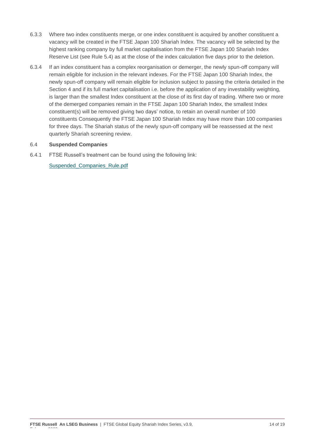- 6.3.3 Where two index constituents merge, or one index constituent is acquired by another constituent a vacancy will be created in the FTSE Japan 100 Shariah Index. The vacancy will be selected by the highest ranking company by full market capitalisation from the FTSE Japan 100 Shariah Index Reserve List (see Rule 5.4) as at the close of the index calculation five days prior to the deletion.
- 6.3.4 If an index constituent has a complex reorganisation or demerger, the newly spun-off company will remain eligible for inclusion in the relevant indexes. For the FTSE Japan 100 Shariah Index, the newly spun-off company will remain eligible for inclusion subject to passing the criteria detailed in the Section 4 and if its full market capitalisation i.e. before the application of any investability weighting, is larger than the smallest Index constituent at the close of its first day of trading. Where two or more of the demerged companies remain in the FTSE Japan 100 Shariah Index, the smallest Index constituent(s) will be removed giving two days' notice, to retain an overall number of 100 constituents Consequently the FTSE Japan 100 Shariah Index may have more than 100 companies for three days. The Shariah status of the newly spun-off company will be reassessed at the next quarterly Shariah screening review.

### 6.4 **Suspended Companies**

6.4.1 FTSE Russell's treatment can be found using the following link:

[Suspended\\_Companies\\_Rule.pdf](https://research.ftserussell.com/products/downloads/Suspended_Companies_Rule.pdf)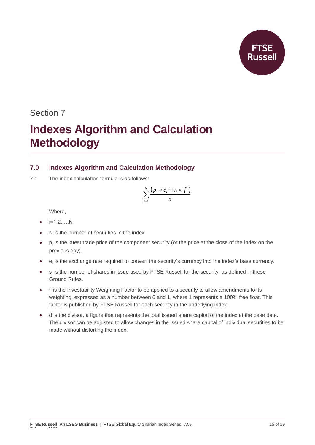# **Indexes Algorithm and Calculation Methodology**

# **7.0 Indexes Algorithm and Calculation Methodology**

7.1 The index calculation formula is as follows:

$$
\sum_{i=1}^N \frac{\left(p_i \times e_i \times s_i \times f_i\right)}{d}
$$

Where,

- $\bullet$   $i=1,2,...,N$
- N is the number of securities in the index.
- $\bullet$  p<sub>i</sub> is the latest trade price of the component security (or the price at the close of the index on the previous day).
- $\bullet$  e<sub>i</sub> is the exchange rate required to convert the security's currency into the index's base currency.
- $\bullet$  s<sub>i</sub> is the number of shares in issue used by FTSE Russell for the security, as defined in these Ground Rules.
- $\bullet$  f<sub>i</sub> is the Investability Weighting Factor to be applied to a security to allow amendments to its weighting, expressed as a number between 0 and 1, where 1 represents a 100% free float. This factor is published by FTSE Russell for each security in the underlying index.
- d is the divisor, a figure that represents the total issued share capital of the index at the base date. The divisor can be adjusted to allow changes in the issued share capital of individual securities to be made without distorting the index.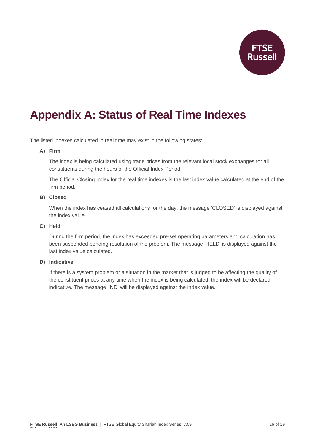

# **Appendix A: Status of Real Time Indexes**

The listed indexes calculated in real time may exist in the following states:

### **A) Firm**

The index is being calculated using trade prices from the relevant local stock exchanges for all constituents during the hours of the Official Index Period.

The Official Closing Index for the real time indexes is the last index value calculated at the end of the firm period.

#### **B) Closed**

When the index has ceased all calculations for the day, the message 'CLOSED' is displayed against the index value.

### **C) Held**

During the firm period, the index has exceeded pre-set operating parameters and calculation has been suspended pending resolution of the problem. The message 'HELD' is displayed against the last index value calculated.

#### **D) Indicative**

February 2022

If there is a system problem or a situation in the market that is judged to be affecting the quality of the constituent prices at any time when the index is being calculated, the index will be declared indicative. The message 'IND' will be displayed against the index value.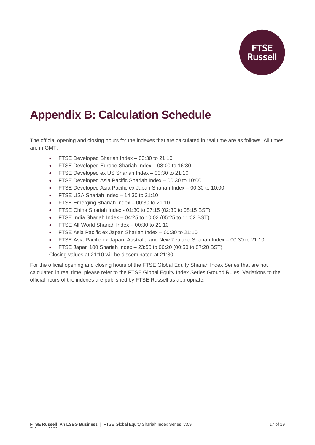

# **Appendix B: Calculation Schedule**

The official opening and closing hours for the indexes that are calculated in real time are as follows. All times are in GMT.

- FTSE Developed Shariah Index 00:30 to 21:10
- FTSE Developed Europe Shariah Index 08:00 to 16:30
- FTSE Developed ex US Shariah Index 00:30 to 21:10
- FTSE Developed Asia Pacific Shariah Index 00:30 to 10:00
- FTSE Developed Asia Pacific ex Japan Shariah Index 00:30 to 10:00
- FTSE USA Shariah Index 14:30 to 21:10
- FTSE Emerging Shariah Index 00:30 to 21:10
- FTSE China Shariah Index 01:30 to 07:15 (02:30 to 08:15 BST)
- FTSE India Shariah Index 04:25 to 10:02 (05:25 to 11:02 BST)
- FTSE All-World Shariah Index 00:30 to 21:10
- FTSE Asia Pacific ex Japan Shariah Index 00:30 to 21:10
- FTSE Asia-Pacific ex Japan, Australia and New Zealand Shariah Index 00:30 to 21:10
- FTSE Japan 100 Shariah Index 23:50 to 06:20 (00:50 to 07:20 BST)

Closing values at 21:10 will be disseminated at 21:30.

For the official opening and closing hours of the FTSE Global Equity Shariah Index Series that are not calculated in real time, please refer to the FTSE Global Equity Index Series Ground Rules. Variations to the official hours of the indexes are published by FTSE Russell as appropriate.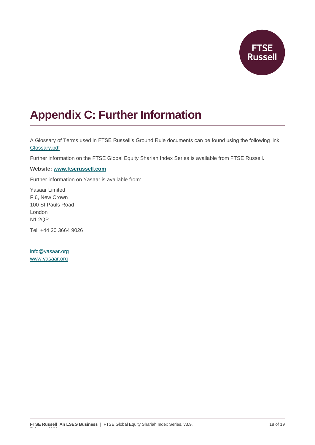

# **Appendix C: Further Information**

A Glossary of Terms used in FTSE Russell's Ground Rule documents can be found using the following link: [Glossary.pdf](https://research.ftserussell.com/products/downloads/Glossary.pdf)

Further information on the FTSE Global Equity Shariah Index Series is available from FTSE Russell.

### **Website: [www.ftserussell.com](http://www.ftserussell.com/)**

Further information on Yasaar is available from:

Yasaar Limited F 6, New Crown 100 St Pauls Road London N1 2QP

Tel: +44 20 3664 9026

[info@yasaar.org](mailto:info@yasaar.org) [www.yasaar.org](http://www.yasaar.org/)

February 2022